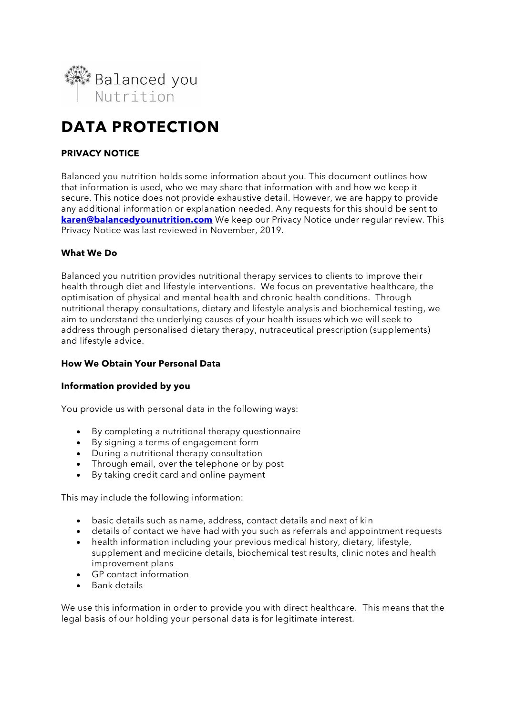

# **DATA PROTECTION**

# **PRIVACY NOTICE**

Balanced you nutrition holds some information about you. This document outlines how that information is used, who we may share that information with and how we keep it secure. This notice does not provide exhaustive detail. However, we are happy to provide any additional information or explanation needed. Any requests for this should be sent to **[karen@balancedyounutrition.com](mailto:karen@balancedyounutrition.com)** We keep our Privacy Notice under regular review. This Privacy Notice was last reviewed in November, 2019.

## **What We Do**

Balanced you nutrition provides nutritional therapy services to clients to improve their health through diet and lifestyle interventions. We focus on preventative healthcare, the optimisation of physical and mental health and chronic health conditions. Through nutritional therapy consultations, dietary and lifestyle analysis and biochemical testing, we aim to understand the underlying causes of your health issues which we will seek to address through personalised dietary therapy, nutraceutical prescription (supplements) and lifestyle advice.

# **How We Obtain Your Personal Data**

## **Information provided by you**

You provide us with personal data in the following ways:

- By completing a nutritional therapy questionnaire
- By signing a terms of engagement form
- During a nutritional therapy consultation
- Through email, over the telephone or by post
- By taking credit card and online payment

This may include the following information:

- basic details such as name, address, contact details and next of kin
- details of contact we have had with you such as referrals and appointment requests
- health information including your previous medical history, dietary, lifestyle, supplement and medicine details, biochemical test results, clinic notes and health improvement plans
- GP contact information
- Bank details

We use this information in order to provide you with direct healthcare. This means that the legal basis of our holding your personal data is for legitimate interest.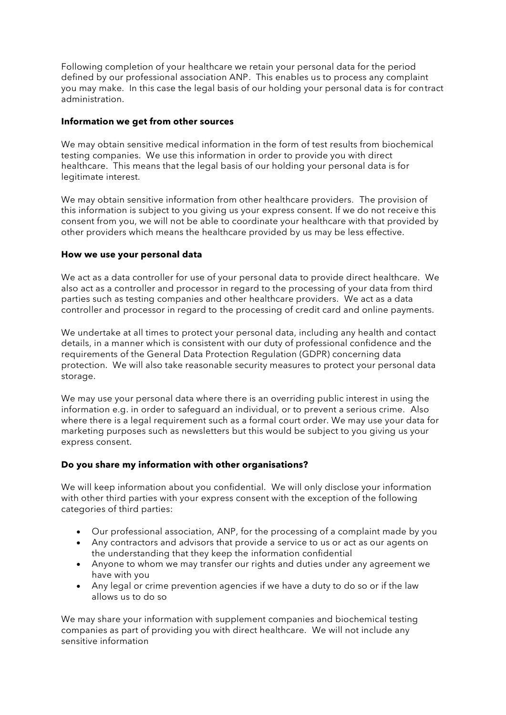Following completion of your healthcare we retain your personal data for the period defined by our professional association ANP. This enables us to process any complaint you may make. In this case the legal basis of our holding your personal data is for contract administration.

## **Information we get from other sources**

We may obtain sensitive medical information in the form of test results from biochemical testing companies. We use this information in order to provide you with direct healthcare. This means that the legal basis of our holding your personal data is for legitimate interest.

We may obtain sensitive information from other healthcare providers. The provision of this information is subject to you giving us your express consent. If we do not receive this consent from you, we will not be able to coordinate your healthcare with that provided by other providers which means the healthcare provided by us may be less effective.

## **How we use your personal data**

We act as a data controller for use of your personal data to provide direct healthcare. We also act as a controller and processor in regard to the processing of your data from third parties such as testing companies and other healthcare providers. We act as a data controller and processor in regard to the processing of credit card and online payments.

We undertake at all times to protect your personal data, including any health and contact details, in a manner which is consistent with our duty of professional confidence and the requirements of the General Data Protection Regulation (GDPR) concerning data protection. We will also take reasonable security measures to protect your personal data storage.

We may use your personal data where there is an overriding public interest in using the information e.g. in order to safeguard an individual, or to prevent a serious crime. Also where there is a legal requirement such as a formal court order. We may use your data for marketing purposes such as newsletters but this would be subject to you giving us your express consent.

# **Do you share my information with other organisations?**

We will keep information about you confidential. We will only disclose your information with other third parties with your express consent with the exception of the following categories of third parties:

- Our professional association, ANP, for the processing of a complaint made by you
- Any contractors and advisors that provide a service to us or act as our agents on the understanding that they keep the information confidential
- Anyone to whom we may transfer our rights and duties under any agreement we have with you
- Any legal or crime prevention agencies if we have a duty to do so or if the law allows us to do so

We may share your information with supplement companies and biochemical testing companies as part of providing you with direct healthcare. We will not include any sensitive information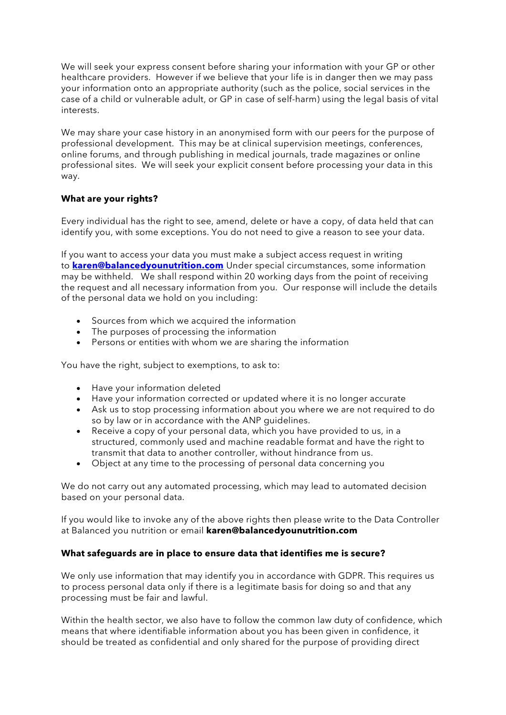We will seek your express consent before sharing your information with your GP or other healthcare providers. However if we believe that your life is in danger then we may pass your information onto an appropriate authority (such as the police, social services in the case of a child or vulnerable adult, or GP in case of self-harm) using the legal basis of vital interests.

We may share your case history in an anonymised form with our peers for the purpose of professional development. This may be at clinical supervision meetings, conferences, online forums, and through publishing in medical journals, trade magazines or online professional sites. We will seek your explicit consent before processing your data in this way.

# **What are your rights?**

Every individual has the right to see, amend, delete or have a copy, of data held that can identify you, with some exceptions. You do not need to give a reason to see your data.

If you want to access your data you must make a subject access request in writing to **[karen@balancedyounutrition.com](mailto:karen@balancedyounutrition.com)** Under special circumstances, some information may be withheld. We shall respond within 20 working days from the point of receiving the request and all necessary information from you. Our response will include the details of the personal data we hold on you including:

- Sources from which we acquired the information
- The purposes of processing the information
- Persons or entities with whom we are sharing the information

You have the right, subject to exemptions, to ask to:

- Have your information deleted
- Have your information corrected or updated where it is no longer accurate
- Ask us to stop processing information about you where we are not required to do so by law or in accordance with the ANP guidelines.
- Receive a copy of your personal data, which you have provided to us, in a structured, commonly used and machine readable format and have the right to transmit that data to another controller, without hindrance from us.
- Object at any time to the processing of personal data concerning you

We do not carry out any automated processing, which may lead to automated decision based on your personal data.

If you would like to invoke any of the above rights then please write to the Data Controller at Balanced you nutrition or email **karen@balancedyounutrition.com**

## **What safeguards are in place to ensure data that identifies me is secure?**

We only use information that may identify you in accordance with GDPR. This requires us to process personal data only if there is a legitimate basis for doing so and that any processing must be fair and lawful.

Within the health sector, we also have to follow the common law duty of confidence, which means that where identifiable information about you has been given in confidence, it should be treated as confidential and only shared for the purpose of providing direct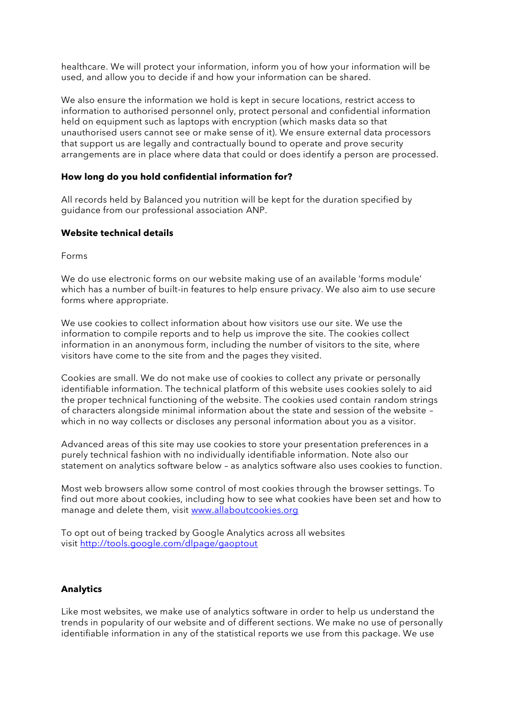healthcare. We will protect your information, inform you of how your information will be used, and allow you to decide if and how your information can be shared.

We also ensure the information we hold is kept in secure locations, restrict access to information to authorised personnel only, protect personal and confidential information held on equipment such as laptops with encryption (which masks data so that unauthorised users cannot see or make sense of it). We ensure external data processors that support us are legally and contractually bound to operate and prove security arrangements are in place where data that could or does identify a person are processed.

#### **How long do you hold confidential information for?**

All records held by Balanced you nutrition will be kept for the duration specified by guidance from our professional association ANP.

## **Website technical details**

Forms

We do use electronic forms on our website making use of an available 'forms module' which has a number of built-in features to help ensure privacy. We also aim to use secure forms where appropriate.

We use cookies to collect information about how visitors use our site. We use the information to compile reports and to help us improve the site. The cookies collect information in an anonymous form, including the number of visitors to the site, where visitors have come to the site from and the pages they visited.

Cookies are small. We do not make use of cookies to collect any private or personally identifiable information. The technical platform of this website uses cookies solely to aid the proper technical functioning of the website. The cookies used contain random strings of characters alongside minimal information about the state and session of the website – which in no way collects or discloses any personal information about you as a visitor.

Advanced areas of this site may use cookies to store your presentation preferences in a purely technical fashion with no individually identifiable information. Note also our statement on analytics software below – as analytics software also uses cookies to function.

Most web browsers allow some control of most cookies through the browser settings. To find out more about cookies, including how to see what cookies have been set and how to manage and delete them, visit [www.allaboutcookies.org](http://www.allaboutcookies.org/)

To opt out of being tracked by Google Analytics across all websites visit <http://tools.google.com/dlpage/gaoptout>

#### **Analytics**

Like most websites, we make use of analytics software in order to help us understand the trends in popularity of our website and of different sections. We make no use of personally identifiable information in any of the statistical reports we use from this package. We use